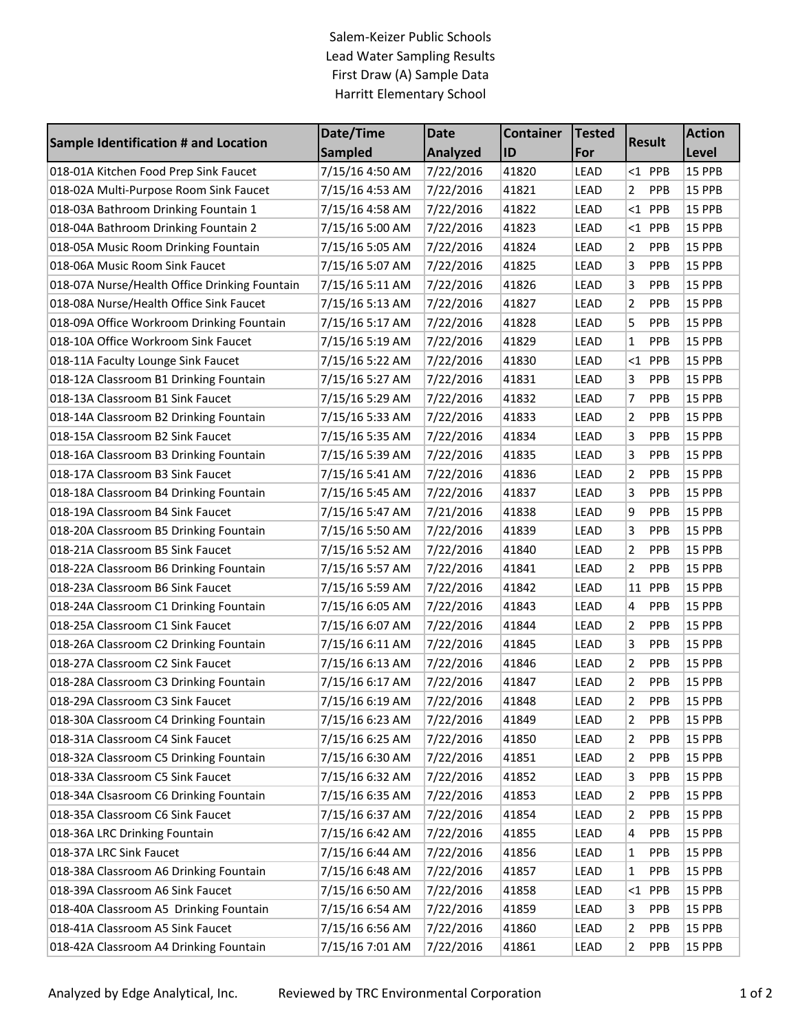## Salem-Keizer Public Schools Lead Water Sampling Results First Draw (A) Sample Data Harritt Elementary School

| <b>Sample Identification # and Location</b>   | Date/Time       | <b>Date</b>     | <b>Container</b> | <b>Tested</b><br><b>Result</b><br>For |                              | <b>Action</b> |
|-----------------------------------------------|-----------------|-----------------|------------------|---------------------------------------|------------------------------|---------------|
|                                               | <b>Sampled</b>  | <b>Analyzed</b> | ID               |                                       |                              | Level         |
| 018-01A Kitchen Food Prep Sink Faucet         | 7/15/16 4:50 AM | 7/22/2016       | 41820            | LEAD                                  | $<$ 1 PPB                    | 15 PPB        |
| 018-02A Multi-Purpose Room Sink Faucet        | 7/15/16 4:53 AM | 7/22/2016       | 41821            | LEAD                                  | 2<br>PPB                     | 15 PPB        |
| 018-03A Bathroom Drinking Fountain 1          | 7/15/16 4:58 AM | 7/22/2016       | 41822            | LEAD                                  | <1 PPB                       | 15 PPB        |
| 018-04A Bathroom Drinking Fountain 2          | 7/15/16 5:00 AM | 7/22/2016       | 41823            | LEAD                                  | PPB<br>$<$ 1                 | 15 PPB        |
| 018-05A Music Room Drinking Fountain          | 7/15/16 5:05 AM | 7/22/2016       | 41824            | LEAD                                  | PPB<br>2                     | 15 PPB        |
| 018-06A Music Room Sink Faucet                | 7/15/16 5:07 AM | 7/22/2016       | 41825            | LEAD                                  | 3<br>PPB                     | 15 PPB        |
| 018-07A Nurse/Health Office Drinking Fountain | 7/15/16 5:11 AM | 7/22/2016       | 41826            | LEAD                                  | 3<br>PPB                     | 15 PPB        |
| 018-08A Nurse/Health Office Sink Faucet       | 7/15/16 5:13 AM | 7/22/2016       | 41827            | LEAD                                  | $\overline{2}$<br><b>PPB</b> | 15 PPB        |
| 018-09A Office Workroom Drinking Fountain     | 7/15/16 5:17 AM | 7/22/2016       | 41828            | LEAD                                  | 5<br><b>PPB</b>              | 15 PPB        |
| 018-10A Office Workroom Sink Faucet           | 7/15/16 5:19 AM | 7/22/2016       | 41829            | LEAD                                  | PPB<br>1                     | 15 PPB        |
| 018-11A Faculty Lounge Sink Faucet            | 7/15/16 5:22 AM | 7/22/2016       | 41830            | LEAD                                  | PPB<br>$<$ 1                 | 15 PPB        |
| 018-12A Classroom B1 Drinking Fountain        | 7/15/16 5:27 AM | 7/22/2016       | 41831            | LEAD                                  | 3<br>PPB                     | 15 PPB        |
| 018-13A Classroom B1 Sink Faucet              | 7/15/16 5:29 AM | 7/22/2016       | 41832            | LEAD                                  | 7<br>PPB                     | 15 PPB        |
| 018-14A Classroom B2 Drinking Fountain        | 7/15/16 5:33 AM | 7/22/2016       | 41833            | LEAD                                  | $\overline{2}$<br>PPB        | 15 PPB        |
| 018-15A Classroom B2 Sink Faucet              | 7/15/16 5:35 AM | 7/22/2016       | 41834            | LEAD                                  | 3<br><b>PPB</b>              | 15 PPB        |
| 018-16A Classroom B3 Drinking Fountain        | 7/15/16 5:39 AM | 7/22/2016       | 41835            | LEAD                                  | 3<br>PPB                     | 15 PPB        |
| 018-17A Classroom B3 Sink Faucet              | 7/15/16 5:41 AM | 7/22/2016       | 41836            | LEAD                                  | 2<br>PPB                     | 15 PPB        |
| 018-18A Classroom B4 Drinking Fountain        | 7/15/16 5:45 AM | 7/22/2016       | 41837            | LEAD                                  | 3<br>PPB                     | 15 PPB        |
| 018-19A Classroom B4 Sink Faucet              | 7/15/16 5:47 AM | 7/21/2016       | 41838            | LEAD                                  | 9<br>PPB                     | 15 PPB        |
| 018-20A Classroom B5 Drinking Fountain        | 7/15/16 5:50 AM | 7/22/2016       | 41839            | LEAD                                  | 3<br>PPB                     | 15 PPB        |
| 018-21A Classroom B5 Sink Faucet              | 7/15/16 5:52 AM | 7/22/2016       | 41840            | LEAD                                  | $\overline{2}$<br>PPB        | 15 PPB        |
| 018-22A Classroom B6 Drinking Fountain        | 7/15/16 5:57 AM | 7/22/2016       | 41841            | LEAD                                  | 2<br><b>PPB</b>              | 15 PPB        |
| 018-23A Classroom B6 Sink Faucet              | 7/15/16 5:59 AM | 7/22/2016       | 41842            | LEAD                                  | PPB<br>11                    | 15 PPB        |
| 018-24A Classroom C1 Drinking Fountain        | 7/15/16 6:05 AM | 7/22/2016       | 41843            | LEAD                                  | 4<br>PPB                     | 15 PPB        |
| 018-25A Classroom C1 Sink Faucet              | 7/15/16 6:07 AM | 7/22/2016       | 41844            | LEAD                                  | 2<br>PPB                     | 15 PPB        |
| 018-26A Classroom C2 Drinking Fountain        | 7/15/16 6:11 AM | 7/22/2016       | 41845            | LEAD                                  | 3<br>PPB                     | 15 PPB        |
| 018-27A Classroom C2 Sink Faucet              | 7/15/16 6:13 AM | 7/22/2016       | 41846            | LEAD                                  | 2<br><b>PPB</b>              | 15 PPB        |
| 018-28A Classroom C3 Drinking Fountain        | 7/15/16 6:17 AM | 7/22/2016       | 41847            | LEAD                                  | 2<br>PPB                     | 15 PPB        |
| 018-29A Classroom C3 Sink Faucet              | 7/15/16 6:19 AM | 7/22/2016       | 41848            | LEAD                                  | 2<br>PPB                     | 15 PPB        |
| 018-30A Classroom C4 Drinking Fountain        | 7/15/16 6:23 AM | 7/22/2016       | 41849            | LEAD                                  | 2<br>PPB                     | 15 PPB        |
| 018-31A Classroom C4 Sink Faucet              | 7/15/16 6:25 AM | 7/22/2016       | 41850            | LEAD                                  | PPB<br>2                     | 15 PPB        |
| 018-32A Classroom C5 Drinking Fountain        | 7/15/16 6:30 AM | 7/22/2016       | 41851            | LEAD                                  | 2<br><b>PPB</b>              | 15 PPB        |
| 018-33A Classroom C5 Sink Faucet              | 7/15/16 6:32 AM | 7/22/2016       | 41852            | LEAD                                  | 3<br><b>PPB</b>              | <b>15 PPB</b> |
| 018-34A Clsasroom C6 Drinking Fountain        | 7/15/16 6:35 AM | 7/22/2016       | 41853            | LEAD                                  | <b>PPB</b><br>2              | 15 PPB        |
| 018-35A Classroom C6 Sink Faucet              | 7/15/16 6:37 AM | 7/22/2016       | 41854            | LEAD                                  | 2<br><b>PPB</b>              | 15 PPB        |
| 018-36A LRC Drinking Fountain                 | 7/15/16 6:42 AM | 7/22/2016       | 41855            | LEAD                                  | PPB<br>4                     | 15 PPB        |
| 018-37A LRC Sink Faucet                       | 7/15/16 6:44 AM | 7/22/2016       | 41856            | LEAD                                  | 1<br><b>PPB</b>              | <b>15 PPB</b> |
| 018-38A Classroom A6 Drinking Fountain        | 7/15/16 6:48 AM | 7/22/2016       | 41857            | LEAD                                  | 1<br><b>PPB</b>              | <b>15 PPB</b> |
| 018-39A Classroom A6 Sink Faucet              | 7/15/16 6:50 AM | 7/22/2016       | 41858            | LEAD                                  | <b>PPB</b><br><1             | <b>15 PPB</b> |
| 018-40A Classroom A5 Drinking Fountain        | 7/15/16 6:54 AM | 7/22/2016       | 41859            | LEAD                                  | 3<br><b>PPB</b>              | 15 PPB        |
| 018-41A Classroom A5 Sink Faucet              | 7/15/16 6:56 AM | 7/22/2016       | 41860            | LEAD                                  | 2<br><b>PPB</b>              | <b>15 PPB</b> |
| 018-42A Classroom A4 Drinking Fountain        | 7/15/16 7:01 AM | 7/22/2016       | 41861            | LEAD                                  | 2<br>PPB                     | 15 PPB        |